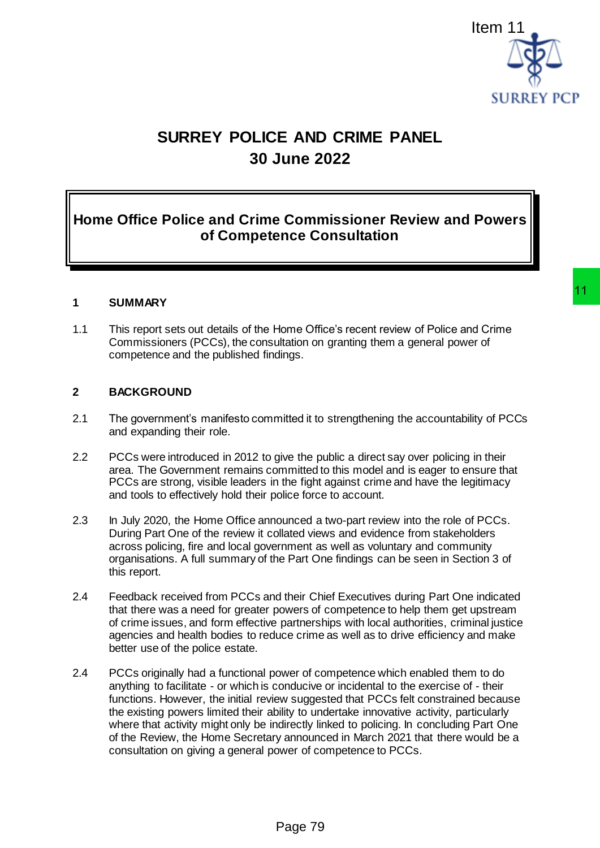

# **SURREY POLICE AND CRIME PANEL 30 June 2022**

## **Home Office Police and Crime Commissioner Review and Powers of Competence Consultation**

#### **1 SUMMARY**

1.1 This report sets out details of the Home Office's recent review of Police and Crime Commissioners (PCCs), the consultation on granting them a general power of competence and the published findings.

#### **2 BACKGROUND**

- 2.1 The government's manifesto committed it to strengthening the accountability of PCCs and expanding their role.
- 2.2 PCCs were introduced in 2012 to give the public a direct say over policing in their area. The Government remains committed to this model and is eager to ensure that PCCs are strong, visible leaders in the fight against crime and have the legitimacy and tools to effectively hold their police force to account.
- 2.3 In July 2020, the Home Office announced a two-part review into the role of PCCs. During Part One of the review it collated views and evidence from stakeholders across policing, fire and local government as well as voluntary and community organisations. A full summary of the Part One findings can be seen in Section 3 of this report.
- 2.4 Feedback received from PCCs and their Chief Executives during Part One indicated that there was a need for greater powers of competence to help them get upstream of crime issues, and form effective partnerships with local authorities, criminal justice agencies and health bodies to reduce crime as well as to drive efficiency and make better use of the police estate.
- 2.4 PCCs originally had a functional power of competence which enabled them to do anything to facilitate - or which is conducive or incidental to the exercise of - their functions. However, the initial review suggested that PCCs felt constrained because the existing powers limited their ability to undertake innovative activity, particularly where that activity might only be indirectly linked to policing. In concluding Part One of the Review, the Home Secretary announced in March 2021 that there would be a consultation on giving a general power of competence to PCCs. Item<br>
SURREY PCP<br>
FAND CRIME PANEL<br>
SURREY PCP<br>
SURREY PCP<br> **ECOMMISSIONER PANEL**<br> **Page 79**<br> **Page 79**<br> **Page 79**<br> **Page 79**<br> **Page 79**<br> **Page 79**<br> **Page 79**<br> **Page 79**<br> **Page 79**<br> **Page 79**<br> **Page 79**<br> **Page 79**<br> **Page 7**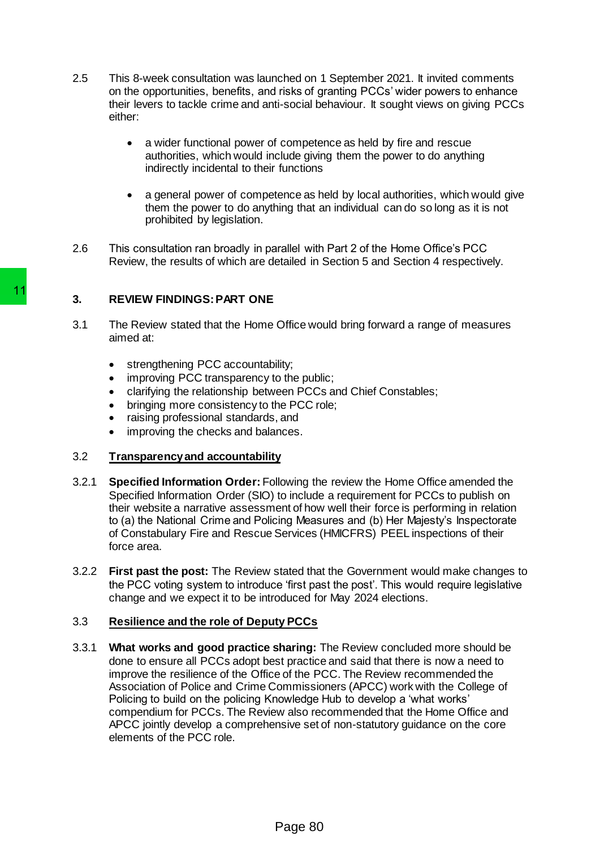- 2.5 This 8-week consultation was launched on 1 September 2021. It invited comments on the opportunities, benefits, and risks of granting PCCs' wider powers to enhance their levers to tackle crime and anti-social behaviour. It sought views on giving PCCs either:
	- a wider functional power of competence as held by fire and rescue authorities, which would include giving them the power to do anything indirectly incidental to their functions
	- a general power of competence as held by local authorities, which would give them the power to do anything that an individual can do so long as it is not prohibited by legislation.
- 2.6 This consultation ran broadly in parallel with Part 2 of the Home Office's PCC Review, the results of which are detailed in Section 5 and Section 4 respectively.

#### **3. REVIEW FINDINGS: PART ONE**

- 3.1 The Review stated that the Home Office would bring forward a range of measures aimed at:
	- strengthening PCC accountability:
	- improving PCC transparency to the public;
	- clarifying the relationship between PCCs and Chief Constables;
	- bringing more consistency to the PCC role;
	- raising professional standards, and
	- improving the checks and balances.

#### 3.2 **Transparency and accountability**

- 3.2.1 **Specified Information Order:** Following the review the Home Office amended the Specified Information Order (SIO) to include a requirement for PCCs to publish on their website a narrative assessment of how well their force is performing in relation to (a) the National Crime and Policing Measures and (b) Her Majesty's Inspectorate of Constabulary Fire and Rescue Services (HMICFRS) PEEL inspections of their force area.
- 3.2.2 **First past the post:** The Review stated that the Government would make changes to the PCC voting system to introduce 'first past the post'. This would require legislative change and we expect it to be introduced for May 2024 elections.

#### 3.3 **Resilience and the role of Deputy PCCs**

3.3.1 **What works and good practice sharing:** The Review concluded more should be done to ensure all PCCs adopt best practice and said that there is now a need to improve the resilience of the Office of the PCC. The Review recommended the Association of Police and Crime Commissioners (APCC) work with the College of Policing to build on the policing Knowledge Hub to develop a 'what works' compendium for PCCs. The Review also recommended that the Home Office and APCC jointly develop a comprehensive set of non-statutory guidance on the core elements of the PCC role. 3. REVIEW FINDINGS: PART ONE<br>
The Review stated that the Home Office wo<br>
aimed at:<br>
• strengthening PCC accountability;<br>
• improving PCC transparency to the public<br>
• clarifying the relationship between PCC<br>
• improving th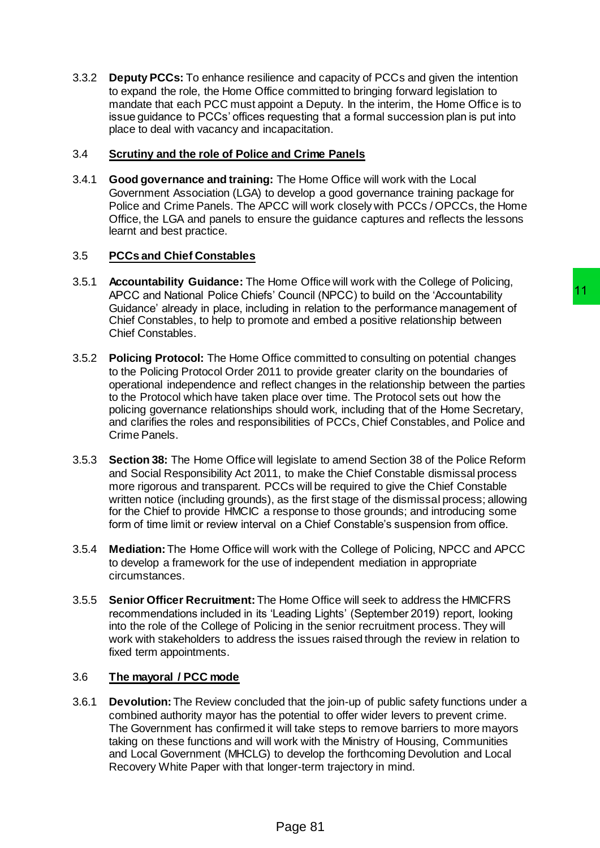3.3.2 **Deputy PCCs:** To enhance resilience and capacity of PCCs and given the intention to expand the role, the Home Office committed to bringing forward legislation to mandate that each PCC must appoint a Deputy. In the interim, the Home Office is to issue guidance to PCCs' offices requesting that a formal succession plan is put into place to deal with vacancy and incapacitation.

## 3.4 **Scrutiny and the role of Police and Crime Panels**

3.4.1 **Good governance and training:** The Home Office will work with the Local Government Association (LGA) to develop a good governance training package for Police and Crime Panels. The APCC will work closely with PCCs / OPCCs, the Home Office, the LGA and panels to ensure the guidance captures and reflects the lessons learnt and best practice.

## 3.5 **PCCs and Chief Constables**

- 3.5.1 **Accountability Guidance:** The Home Office will work with the College of Policing, APCC and National Police Chiefs' Council (NPCC) to build on the 'Accountability Guidance' already in place, including in relation to the performance management of Chief Constables, to help to promote and embed a positive relationship between Chief Constables.
- 3.5.2 **Policing Protocol:** The Home Office committed to consulting on potential changes to the Policing Protocol Order 2011 to provide greater clarity on the boundaries of operational independence and reflect changes in the relationship between the parties to the Protocol which have taken place over time. The Protocol sets out how the policing governance relationships should work, including that of the Home Secretary, and clarifies the roles and responsibilities of PCCs, Chief Constables, and Police and Crime Panels. Council (NPCC) to build on the 'Accountability'<br>
Council (NPCC) to build on the 'Accountability'<br>
of the areformance management of<br>
bie and embed a positive relationship between<br>
the provide grader clarity on the burdaries
- 3.5.3 **Section 38:** The Home Office will legislate to amend Section 38 of the Police Reform and Social Responsibility Act 2011, to make the Chief Constable dismissal process more rigorous and transparent. PCCs will be required to give the Chief Constable written notice (including grounds), as the first stage of the dismissal process; allowing for the Chief to provide HMCIC a response to those grounds; and introducing some form of time limit or review interval on a Chief Constable's suspension from office.
- 3.5.4 **Mediation:** The Home Office will work with the College of Policing, NPCC and APCC to develop a framework for the use of independent mediation in appropriate circumstances.
- 3.5.5 **Senior Officer Recruitment:** The Home Office will seek to address the HMICFRS recommendations included in its 'Leading Lights' (September 2019) report, looking into the role of the College of Policing in the senior recruitment process. They will work with stakeholders to address the issues raised through the review in relation to fixed term appointments.

## 3.6 **The mayoral / PCC mode**

3.6.1 **Devolution:**The Review concluded that the join-up of public safety functions under a combined authority mayor has the potential to offer wider levers to prevent crime. The Government has confirmed it will take steps to remove barriers to more mayors taking on these functions and will work with the Ministry of Housing, Communities and Local Government (MHCLG) to develop the forthcoming Devolution and Local Recovery White Paper with that longer-term trajectory in mind.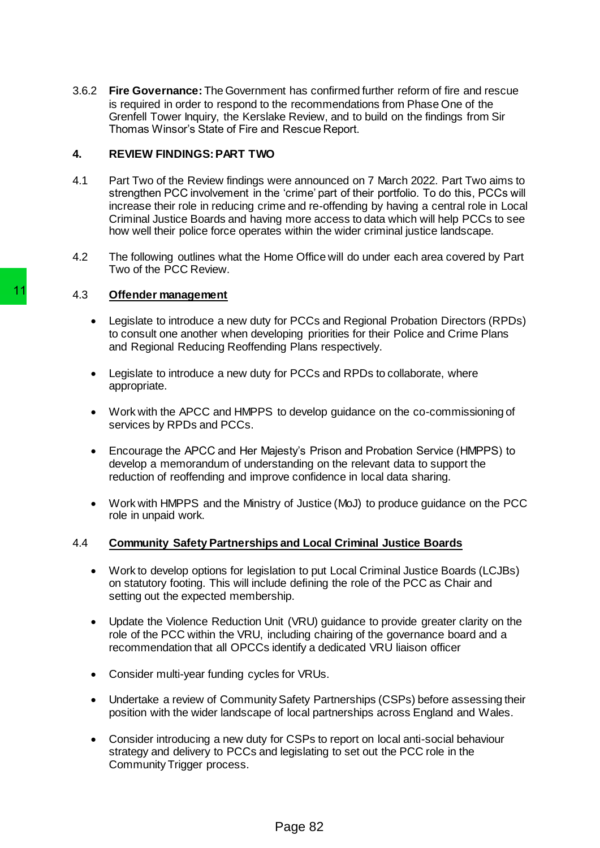3.6.2 **Fire Governance:**The Government has confirmed further reform of fire and rescue is required in order to respond to the recommendations from Phase One of the Grenfell Tower Inquiry, the Kerslake Review, and to build on the findings from Sir Thomas Winsor's State of Fire and Rescue Report.

## **4. REVIEW FINDINGS: PART TWO**

- 4.1 Part Two of the Review findings were announced on 7 March 2022. Part Two aims to strengthen PCC involvement in the 'crime' part of their portfolio. To do this, PCCs will increase their role in reducing crime and re-offending by having a central role in Local Criminal Justice Boards and having more access to data which will help PCCs to see how well their police force operates within the wider criminal justice landscape.
- 4.2 The following outlines what the Home Office will do under each area covered by Part Two of the PCC Review.

## 4.3 **Offender management**

- Legislate to introduce a new duty for PCCs and Regional Probation Directors (RPDs) to consult one another when developing priorities for their Police and Crime Plans and Regional Reducing Reoffending Plans respectively.
- Legislate to introduce a new duty for PCCs and RPDs to collaborate, where appropriate.
- Work with the APCC and HMPPS to develop guidance on the co-commissioning of services by RPDs and PCCs.
- Encourage the APCC and Her Majesty's Prison and Probation Service (HMPPS) to develop a memorandum of understanding on the relevant data to support the reduction of reoffending and improve confidence in local data sharing.
- Work with HMPPS and the Ministry of Justice (MoJ) to produce guidance on the PCC role in unpaid work.

## 4.4 **Community Safety Partnerships and Local Criminal Justice Boards**

- Work to develop options for legislation to put Local Criminal Justice Boards (LCJBs) on statutory footing. This will include defining the role of the PCC as Chair and setting out the expected membership.
- Update the Violence Reduction Unit (VRU) guidance to provide greater clarity on the role of the PCC within the VRU, including chairing of the governance board and a recommendation that all OPCCs identify a dedicated VRU liaison officer Page 82 11
	- Consider multi-year funding cycles for VRUs.
	- Undertake a review of Community Safety Partnerships (CSPs) before assessing their position with the wider landscape of local partnerships across England and Wales.
	- Consider introducing a new duty for CSPs to report on local anti-social behaviour strategy and delivery to PCCs and legislating to set out the PCC role in the Community Trigger process.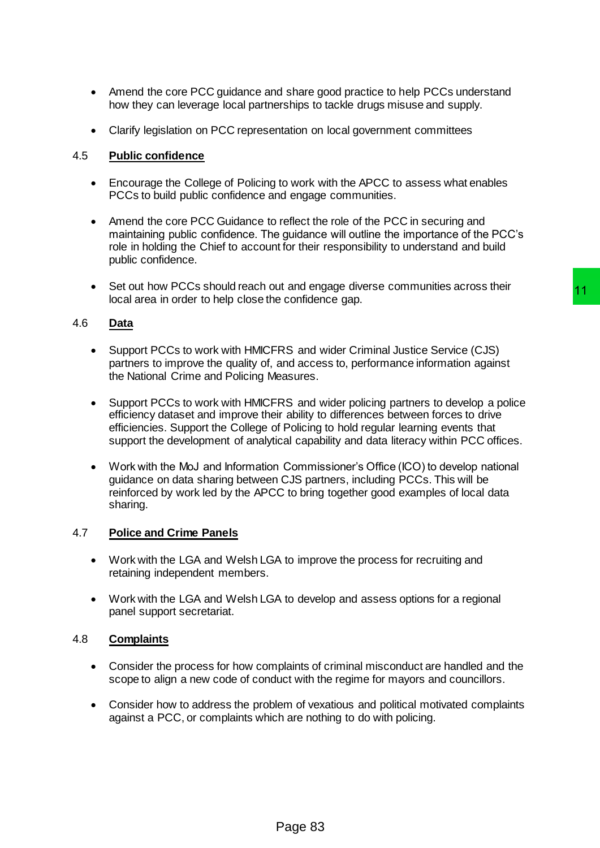- Amend the core PCC guidance and share good practice to help PCCs understand how they can leverage local partnerships to tackle drugs misuse and supply.
- Clarify legislation on PCC representation on local government committees

#### 4.5 **Public confidence**

- Encourage the College of Policing to work with the APCC to assess what enables PCCs to build public confidence and engage communities.
- Amend the core PCC Guidance to reflect the role of the PCC in securing and maintaining public confidence. The guidance will outline the importance of the PCC's role in holding the Chief to account for their responsibility to understand and build public confidence.
- Set out how PCCs should reach out and engage diverse communities across their local area in order to help close the confidence gap.

#### 4.6 **Data**

- Support PCCs to work with HMICFRS and wider Criminal Justice Service (CJS) partners to improve the quality of, and access to, performance information against the National Crime and Policing Measures.
- Support PCCs to work with HMICFRS and wider policing partners to develop a police efficiency dataset and improve their ability to differences between forces to drive efficiencies. Support the College of Policing to hold regular learning events that support the development of analytical capability and data literacy within PCC offices. It and engage diverse communities across their<br>
FRS and wider Criminal Justice Service (CJS)<br>
and access to, performance information against<br>
reasonces to, performance information against<br>
reasonces to the product product
- Work with the MoJ and Information Commissioner's Office (ICO) to develop national guidance on data sharing between CJS partners, including PCCs. This will be reinforced by work led by the APCC to bring together good examples of local data sharing.

#### 4.7 **Police and Crime Panels**

- Work with the LGA and Welsh LGA to improve the process for recruiting and retaining independent members.
- Work with the LGA and Welsh LGA to develop and assess options for a regional panel support secretariat.

#### 4.8 **Complaints**

- Consider the process for how complaints of criminal misconduct are handled and the scope to align a new code of conduct with the regime for mayors and councillors.
- Consider how to address the problem of vexatious and political motivated complaints against a PCC, or complaints which are nothing to do with policing.